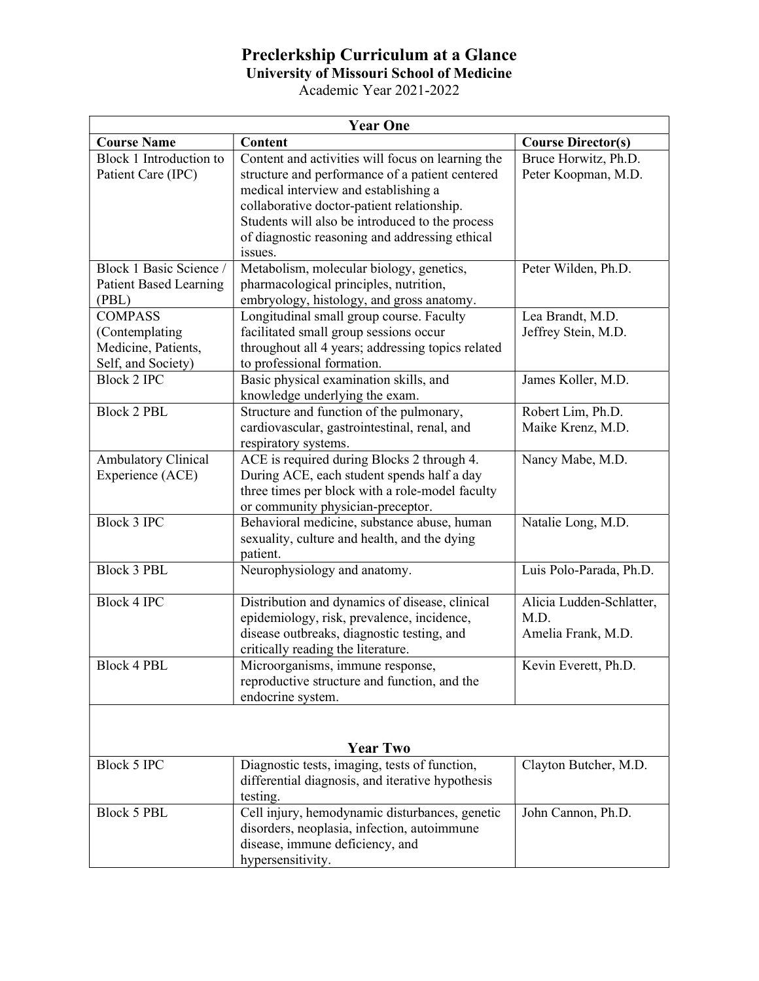## Preclerkship Curriculum at a Glance

University of Missouri School of Medicine

Academic Year 2021-2022

| <b>Year One</b>               |                                                   |                           |  |
|-------------------------------|---------------------------------------------------|---------------------------|--|
| <b>Course Name</b>            | Content                                           | <b>Course Director(s)</b> |  |
| Block 1 Introduction to       | Content and activities will focus on learning the | Bruce Horwitz, Ph.D.      |  |
| Patient Care (IPC)            | structure and performance of a patient centered   | Peter Koopman, M.D.       |  |
|                               | medical interview and establishing a              |                           |  |
|                               | collaborative doctor-patient relationship.        |                           |  |
|                               | Students will also be introduced to the process   |                           |  |
|                               | of diagnostic reasoning and addressing ethical    |                           |  |
|                               | issues.                                           |                           |  |
| Block 1 Basic Science /       | Metabolism, molecular biology, genetics,          | Peter Wilden, Ph.D.       |  |
| <b>Patient Based Learning</b> | pharmacological principles, nutrition,            |                           |  |
| (PBL)                         | embryology, histology, and gross anatomy.         |                           |  |
| <b>COMPASS</b>                | Longitudinal small group course. Faculty          | Lea Brandt, M.D.          |  |
| (Contemplating                | facilitated small group sessions occur            | Jeffrey Stein, M.D.       |  |
| Medicine, Patients,           | throughout all 4 years; addressing topics related |                           |  |
| Self, and Society)            | to professional formation.                        |                           |  |
| <b>Block 2 IPC</b>            | Basic physical examination skills, and            | James Koller, M.D.        |  |
|                               | knowledge underlying the exam.                    |                           |  |
| <b>Block 2 PBL</b>            | Structure and function of the pulmonary,          | Robert Lim, Ph.D.         |  |
|                               | cardiovascular, gastrointestinal, renal, and      | Maike Krenz, M.D.         |  |
|                               | respiratory systems.                              |                           |  |
| <b>Ambulatory Clinical</b>    | ACE is required during Blocks 2 through 4.        | Nancy Mabe, M.D.          |  |
| Experience (ACE)              | During ACE, each student spends half a day        |                           |  |
|                               | three times per block with a role-model faculty   |                           |  |
|                               | or community physician-preceptor.                 |                           |  |
| <b>Block 3 IPC</b>            | Behavioral medicine, substance abuse, human       | Natalie Long, M.D.        |  |
|                               | sexuality, culture and health, and the dying      |                           |  |
|                               | patient.                                          |                           |  |
| <b>Block 3 PBL</b>            | Neurophysiology and anatomy.                      | Luis Polo-Parada, Ph.D.   |  |
|                               |                                                   |                           |  |
| <b>Block 4 IPC</b>            | Distribution and dynamics of disease, clinical    | Alicia Ludden-Schlatter,  |  |
|                               | epidemiology, risk, prevalence, incidence,        | M.D.                      |  |
|                               | disease outbreaks, diagnostic testing, and        | Amelia Frank, M.D.        |  |
|                               | critically reading the literature.                |                           |  |
| <b>Block 4 PBL</b>            | Microorganisms, immune response,                  | Kevin Everett, Ph.D.      |  |
|                               | reproductive structure and function, and the      |                           |  |
|                               | endocrine system.                                 |                           |  |
|                               |                                                   |                           |  |
|                               |                                                   |                           |  |
|                               | <b>Year Two</b>                                   |                           |  |
| Block 5 IPC                   | Diagnostic tests, imaging, tests of function,     | Clayton Butcher, M.D.     |  |
|                               | differential diagnosis, and iterative hypothesis  |                           |  |
|                               | testing.                                          |                           |  |
| <b>Block 5 PBL</b>            | Cell injury, hemodynamic disturbances, genetic    | John Cannon, Ph.D.        |  |
|                               | disorders, neoplasia, infection, autoimmune       |                           |  |
|                               | disease, immune deficiency, and                   |                           |  |
|                               | hypersensitivity.                                 |                           |  |